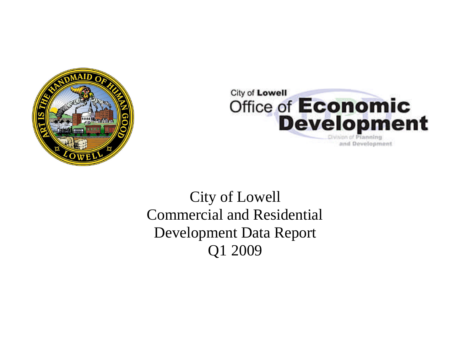



# City of Lowell Commercial and Residential Development Data Report Q1 2009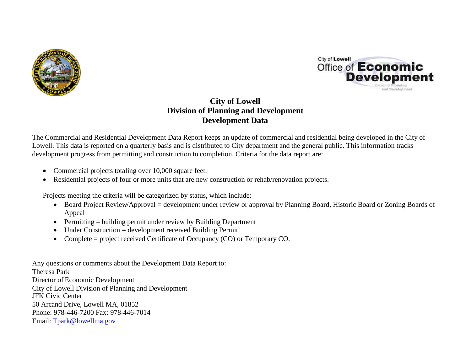



# **City of Lowell Division of Planning and Development Development Data**

The Commercial and Residential Development Data Report keeps an update of commercial and residential being developed in the City of Lowell. This data is reported on a quarterly basis and is distributed to City department and the general public. This information tracks development progress from permitting and construction to completion. Criteria for the data report are:

- Commercial projects totaling over 10,000 square feet.
- Residential projects of four or more units that are new construction or rehab/renovation projects.

Projects meeting the criteria will be categorized by status, which include:

- Board Project Review/Approval = development under review or approval by Planning Board, Historic Board or Zoning Boards of Appeal
- $\bullet$  Permitting = building permit under review by Building Department
- Under Construction = development received Building Permit
- Complete = project received Certificate of Occupancy (CO) or Temporary CO.

Any questions or comments about the Development Data Report to: Theresa Park Director of Economic Development City of Lowell Division of Planning and Development JFK Civic Center 50 Arcand Drive, Lowell MA, 01852 Phone: 978-446-7200 Fax: 978-446-7014 Email: Tpark@lowellma.gov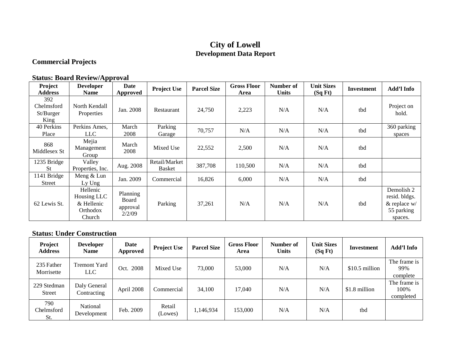## **City of Lowell Development Data Report**

## **Commercial Projects**

#### **Status: Board Review/Approval**

| Project<br><b>Address</b>              | <b>Developer</b><br><b>Name</b>                             | Date<br>Approved                        | <b>Project Use</b>      | <b>Parcel Size</b> | <b>Gross Floor</b><br>Area | Number of<br><b>Units</b> | <b>Unit Sizes</b><br>(SqFt) | <b>Investment</b> | Add'l Info                                                              |
|----------------------------------------|-------------------------------------------------------------|-----------------------------------------|-------------------------|--------------------|----------------------------|---------------------------|-----------------------------|-------------------|-------------------------------------------------------------------------|
| 392<br>Chelmsford<br>St/Burger<br>King | North Kendall<br>Properties                                 | Jan. 2008                               | Restaurant              | 24,750             | 2,223                      | N/A                       | N/A                         | tbd               | Project on<br>hold.                                                     |
| 40 Perkins<br>Place                    | Perkins Ames,<br>LLC                                        | March<br>2008                           | Parking<br>Garage       | 70,757             | N/A                        | N/A                       | N/A                         | tbd               | 360 parking<br>spaces                                                   |
| 868<br>Middlesex St                    | Mejia<br>Management<br>Group                                | March<br>2008                           | Mixed Use               | 22,552             | 2,500                      | N/A                       | N/A                         | tbd               |                                                                         |
| 1235 Bridge<br><b>St</b>               | Valley<br>Properties, Inc.                                  | Aug. 2008                               | Retail/Market<br>Basket | 387,708            | 110,500                    | N/A                       | N/A                         | tbd               |                                                                         |
| 1141 Bridge<br><b>Street</b>           | Meng & Lun<br>Ly Ung                                        | Jan. 2009                               | Commercial              | 16,826             | 6,000                      | N/A                       | N/A                         | tbd               |                                                                         |
| 62 Lewis St.                           | Hellenic<br>Housing LLC<br>& Hellenic<br>Orthodox<br>Church | Planning<br>Board<br>approval<br>2/2/09 | Parking                 | 37,261             | N/A                        | N/A                       | N/A                         | tbd               | Demolish 2<br>resid. bldgs.<br>$\&$ replace w/<br>55 parking<br>spaces. |

#### **Status: Under Construction**

| Project<br><b>Address</b>    | <b>Developer</b><br><b>Name</b> | Date<br>Approved | <b>Project Use</b> | <b>Parcel Size</b> | <b>Gross Floor</b><br>Area | Number of<br><b>Units</b> | <b>Unit Sizes</b><br>(SqFt) | Investment      | Add'l Info                        |
|------------------------------|---------------------------------|------------------|--------------------|--------------------|----------------------------|---------------------------|-----------------------------|-----------------|-----------------------------------|
| 235 Father<br>Morrisette     | <b>Tremont Yard</b><br>LLC      | Oct. 2008        | Mixed Use          | 73,000             | 53,000                     | N/A                       | N/A                         | $$10.5$ million | The frame is<br>99%<br>complete   |
| 229 Stedman<br><b>Street</b> | Daly General<br>Contracting     | April 2008       | Commercial         | 34,100             | 17,040                     | N/A                       | N/A                         | \$1.8 million   | The frame is<br>100%<br>completed |
| 790<br>Chelmsford<br>St.     | National<br>Development         | Feb. 2009        | Retail<br>(Lowes)  | 1,146,934          | 153,000                    | N/A                       | N/A                         | tbd             |                                   |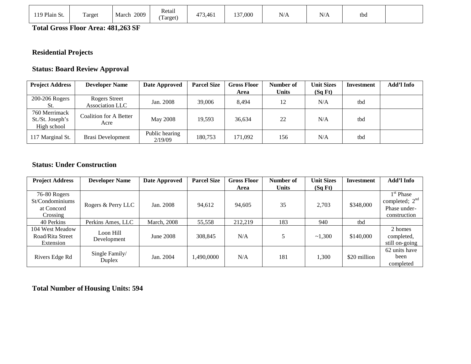| 119 Plain St. | Target | 2009<br>March | Retail<br>Target) | 473,461 | 137,000 | N/A | $N$ //<br>19/H | tba |  |
|---------------|--------|---------------|-------------------|---------|---------|-----|----------------|-----|--|
|---------------|--------|---------------|-------------------|---------|---------|-----|----------------|-----|--|

**Total Gross Floor Area: 481,263 SF**

## **Residential Projects**

#### **Status: Board Review Approval**

| <b>Project Address</b>                           | <b>Developer Name</b>          | Date Approved             | <b>Parcel Size</b> | <b>Gross Floor</b> | Number of    | <b>Unit Sizes</b> | Investment | Add'l Info |
|--------------------------------------------------|--------------------------------|---------------------------|--------------------|--------------------|--------------|-------------------|------------|------------|
|                                                  |                                |                           |                    | Area               | <b>Units</b> | (SqFt)            |            |            |
| 200-206 Rogers                                   | Rogers Street                  | Jan. 2008                 | 39,006             | 8.494              | 12           | N/A               | tbd        |            |
| St.                                              | Association LLC                |                           |                    |                    |              |                   |            |            |
| 760 Merrimack<br>St./St. Joseph's<br>High school | Coalition for A Better<br>Acre | May 2008                  | 19,593             | 36,634             | 22           | N/A               | tbd        |            |
| 117 Marginal St.                                 | <b>Brasi Development</b>       | Public hearing<br>2/19/09 | 180,753            | 171,092            | 156          | N/A               | tbd        |            |

#### **Status: Under Construction**

| <b>Project Address</b> | <b>Developer Name</b>    | Date Approved       | <b>Parcel Size</b> | <b>Gross Floor</b> | Number of    | <b>Unit Sizes</b> | Investment   | Add'l Info            |
|------------------------|--------------------------|---------------------|--------------------|--------------------|--------------|-------------------|--------------|-----------------------|
|                        |                          |                     |                    | Area               | <b>Units</b> | (SqFt)            |              |                       |
| 76-80 Rogers           |                          |                     |                    |                    |              |                   |              | 1 <sup>st</sup> Phase |
| St/Condominiums        |                          |                     |                    |                    |              | 2,703             | \$348,000    | completed; $2nd$      |
| at Concord             | Rogers & Perry LLC       | Jan. 2008           | 94,612             | 94,605             | 35           |                   |              | Phase under-          |
| Crossing               |                          |                     |                    |                    |              |                   |              | construction          |
| 40 Perkins             | Perkins Ames, LLC        | <b>March</b> , 2008 | 55,558             | 212,219            | 183          | 940               | tbd          |                       |
| 104 West Meadow        | Loon Hill                |                     |                    |                    |              |                   |              | 2 homes               |
| Road/Rita Street       |                          | June 2008           | 308,845            | N/A                |              | ~1,300            | \$140,000    | completed,            |
| Extension              | Development              |                     |                    |                    |              |                   |              | still on-going        |
|                        |                          |                     |                    |                    |              |                   |              | 62 units have         |
| Rivers Edge Rd         | Single Family/<br>Duplex | Jan. 2004           | ,490,0000          | N/A                | 181          | 1,300             | \$20 million | been                  |
|                        |                          |                     |                    |                    |              |                   |              | completed             |

**Total Number of Housing Units: 594**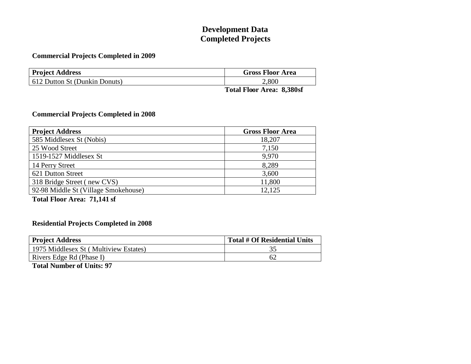# **Development Data Completed Projects**

#### **Commercial Projects Completed in 2009**

| <b>Project Address</b>        | <b>Gross Floor Area</b> |
|-------------------------------|-------------------------|
| 612 Dutton St (Dunkin Donuts) | 2,800                   |
|                               | $0.200$ $0.00$<br>m     |

**Total Floor Area: 8,380sf**

#### **Commercial Projects Completed in 2008**

| <b>Project Address</b>               | <b>Gross Floor Area</b> |
|--------------------------------------|-------------------------|
| 585 Middlesex St (Nobis)             | 18,207                  |
| 25 Wood Street                       | 7,150                   |
| 1519-1527 Middlesex St               | 9,970                   |
| 14 Perry Street                      | 8,289                   |
| 621 Dutton Street                    | 3,600                   |
| 318 Bridge Street (new CVS)          | 11,800                  |
| 92-98 Middle St (Village Smokehouse) | 12,125                  |

**Total Floor Area: 71,141 sf**

#### **Residential Projects Completed in 2008**

| <b>Project Address</b>                | <b>Total # Of Residential Units</b> |
|---------------------------------------|-------------------------------------|
| 1975 Middlesex St (Multiview Estates) |                                     |
| Rivers Edge Rd (Phase I)              |                                     |

**Total Number of Units: 97**